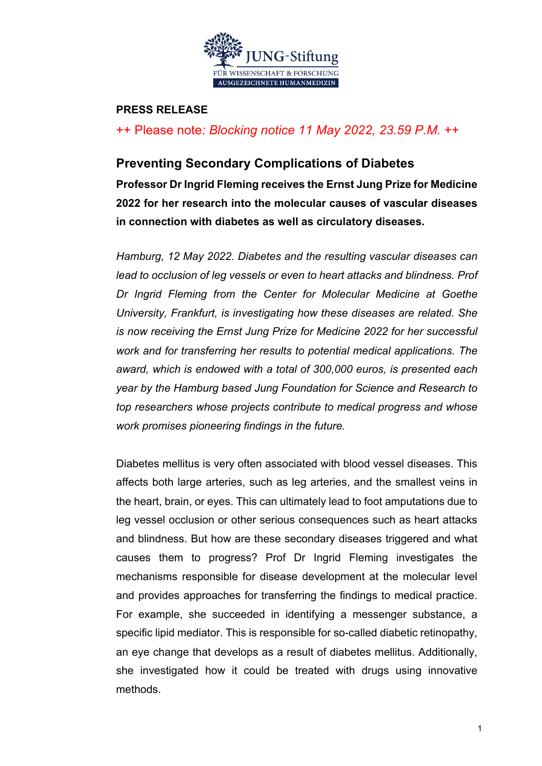

#### **PRESS RELEASE**

++ Please note*: Blocking notice 11 May 2022, 23.59 P.M.* ++

### **Preventing Secondary Complications of Diabetes**

**Professor Dr Ingrid Fleming receives the Ernst Jung Prize for Medicine 2022 for her research into the molecular causes of vascular diseases in connection with diabetes as well as circulatory diseases.**

*Hamburg, 12 May 2022. Diabetes and the resulting vascular diseases can lead to occlusion of leg vessels or even to heart attacks and blindness. Prof Dr Ingrid Fleming from the Center for Molecular Medicine at Goethe University, Frankfurt, is investigating how these diseases are related. She is now receiving the Ernst Jung Prize for Medicine 2022 for her successful work and for transferring her results to potential medical applications. The award, which is endowed with a total of 300,000 euros, is presented each year by the Hamburg based Jung Foundation for Science and Research to top researchers whose projects contribute to medical progress and whose work promises pioneering findings in the future.*

Diabetes mellitus is very often associated with blood vessel diseases. This affects both large arteries, such as leg arteries, and the smallest veins in the heart, brain, or eyes. This can ultimately lead to foot amputations due to leg vessel occlusion or other serious consequences such as heart attacks and blindness. But how are these secondary diseases triggered and what causes them to progress? Prof Dr Ingrid Fleming investigates the mechanisms responsible for disease development at the molecular level and provides approaches for transferring the findings to medical practice. For example, she succeeded in identifying a messenger substance, a specific lipid mediator. This is responsible for so-called diabetic retinopathy, an eye change that develops as a result of diabetes mellitus. Additionally, she investigated how it could be treated with drugs using innovative methods.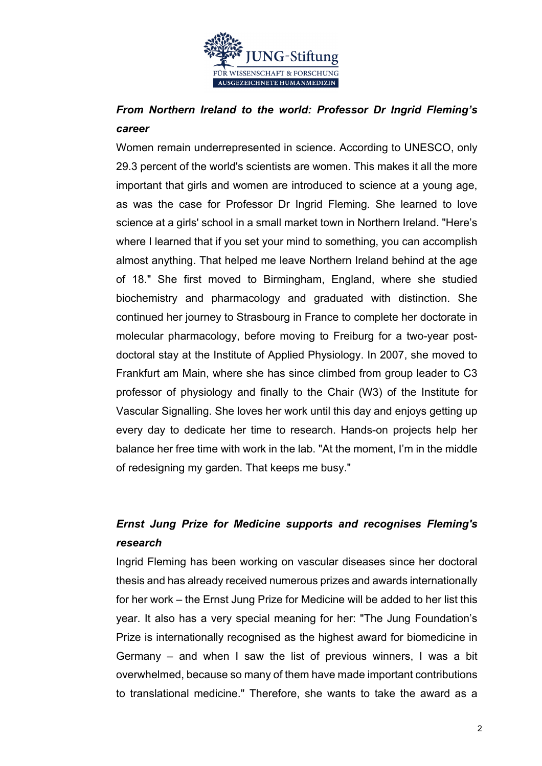

## *From Northern Ireland to the world: Professor Dr Ingrid Fleming's career*

Women remain underrepresented in science. According to UNESCO, only 29.3 percent of the world's scientists are women. This makes it all the more important that girls and women are introduced to science at a young age, as was the case for Professor Dr Ingrid Fleming. She learned to love science at a girls' school in a small market town in Northern Ireland. "Here's where I learned that if you set your mind to something, you can accomplish almost anything. That helped me leave Northern Ireland behind at the age of 18." She first moved to Birmingham, England, where she studied biochemistry and pharmacology and graduated with distinction. She continued her journey to Strasbourg in France to complete her doctorate in molecular pharmacology, before moving to Freiburg for a two-year postdoctoral stay at the Institute of Applied Physiology. In 2007, she moved to Frankfurt am Main, where she has since climbed from group leader to C3 professor of physiology and finally to the Chair (W3) of the Institute for Vascular Signalling. She loves her work until this day and enjoys getting up every day to dedicate her time to research. Hands-on projects help her balance her free time with work in the lab. "At the moment, I'm in the middle of redesigning my garden. That keeps me busy."

# *Ernst Jung Prize for Medicine supports and recognises Fleming's research*

Ingrid Fleming has been working on vascular diseases since her doctoral thesis and has already received numerous prizes and awards internationally for her work – the Ernst Jung Prize for Medicine will be added to her list this year. It also has a very special meaning for her: "The Jung Foundation's Prize is internationally recognised as the highest award for biomedicine in Germany – and when I saw the list of previous winners, I was a bit overwhelmed, because so many of them have made important contributions to translational medicine." Therefore, she wants to take the award as a